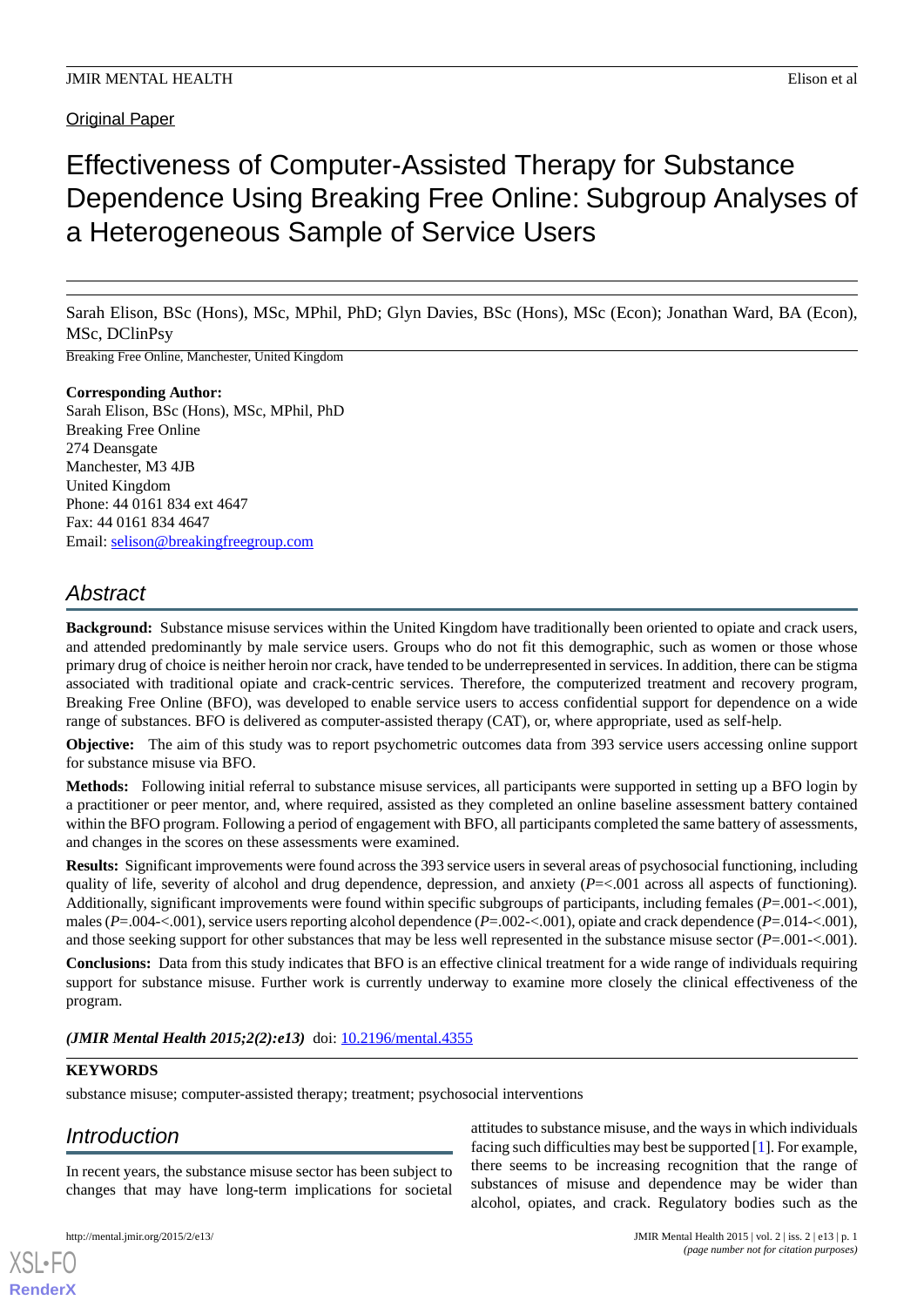#### **Original Paper**

# Effectiveness of Computer-Assisted Therapy for Substance Dependence Using Breaking Free Online: Subgroup Analyses of a Heterogeneous Sample of Service Users

Sarah Elison, BSc (Hons), MSc, MPhil, PhD; Glyn Davies, BSc (Hons), MSc (Econ); Jonathan Ward, BA (Econ), MSc, DClinPsy

Breaking Free Online, Manchester, United Kingdom

#### **Corresponding Author:**

Sarah Elison, BSc (Hons), MSc, MPhil, PhD Breaking Free Online 274 Deansgate Manchester, M3 4JB United Kingdom Phone: 44 0161 834 ext 4647 Fax: 44 0161 834 4647 Email: [selison@breakingfreegroup.com](mailto:selison@breakingfreegroup.com)

# *Abstract*

**Background:** Substance misuse services within the United Kingdom have traditionally been oriented to opiate and crack users, and attended predominantly by male service users. Groups who do not fit this demographic, such as women or those whose primary drug of choice is neither heroin nor crack, have tended to be underrepresented in services. In addition, there can be stigma associated with traditional opiate and crack-centric services. Therefore, the computerized treatment and recovery program, Breaking Free Online (BFO), was developed to enable service users to access confidential support for dependence on a wide range of substances. BFO is delivered as computer-assisted therapy (CAT), or, where appropriate, used as self-help.

**Objective:** The aim of this study was to report psychometric outcomes data from 393 service users accessing online support for substance misuse via BFO.

**Methods:** Following initial referral to substance misuse services, all participants were supported in setting up a BFO login by a practitioner or peer mentor, and, where required, assisted as they completed an online baseline assessment battery contained within the BFO program. Following a period of engagement with BFO, all participants completed the same battery of assessments, and changes in the scores on these assessments were examined.

**Results:** Significant improvements were found across the 393 service users in several areas of psychosocial functioning, including quality of life, severity of alcohol and drug dependence, depression, and anxiety (*P*=<.001 across all aspects of functioning)*.* Additionally, significant improvements were found within specific subgroups of participants, including females (*P*=.001-<.001), males (*P*=.004-<.001), service users reporting alcohol dependence (*P*=.002-<.001), opiate and crack dependence (*P*=.014-<.001), and those seeking support for other substances that may be less well represented in the substance misuse sector  $(P=.001<.001)$ .

**Conclusions:** Data from this study indicates that BFO is an effective clinical treatment for a wide range of individuals requiring support for substance misuse. Further work is currently underway to examine more closely the clinical effectiveness of the program.

*(JMIR Mental Health 2015;2(2):e13)* doi: [10.2196/mental.4355](http://dx.doi.org/10.2196/mental.4355)

#### **KEYWORDS**

substance misuse; computer-assisted therapy; treatment; psychosocial interventions

### *Introduction*

In recent years, the substance misuse sector has been subject to changes that may have long-term implications for societal

[XSL](http://www.w3.org/Style/XSL)•FO **[RenderX](http://www.renderx.com/)**

attitudes to substance misuse, and the ways in which individuals facing such difficulties may best be supported [\[1](#page-9-0)]. For example, there seems to be increasing recognition that the range of substances of misuse and dependence may be wider than alcohol, opiates, and crack. Regulatory bodies such as the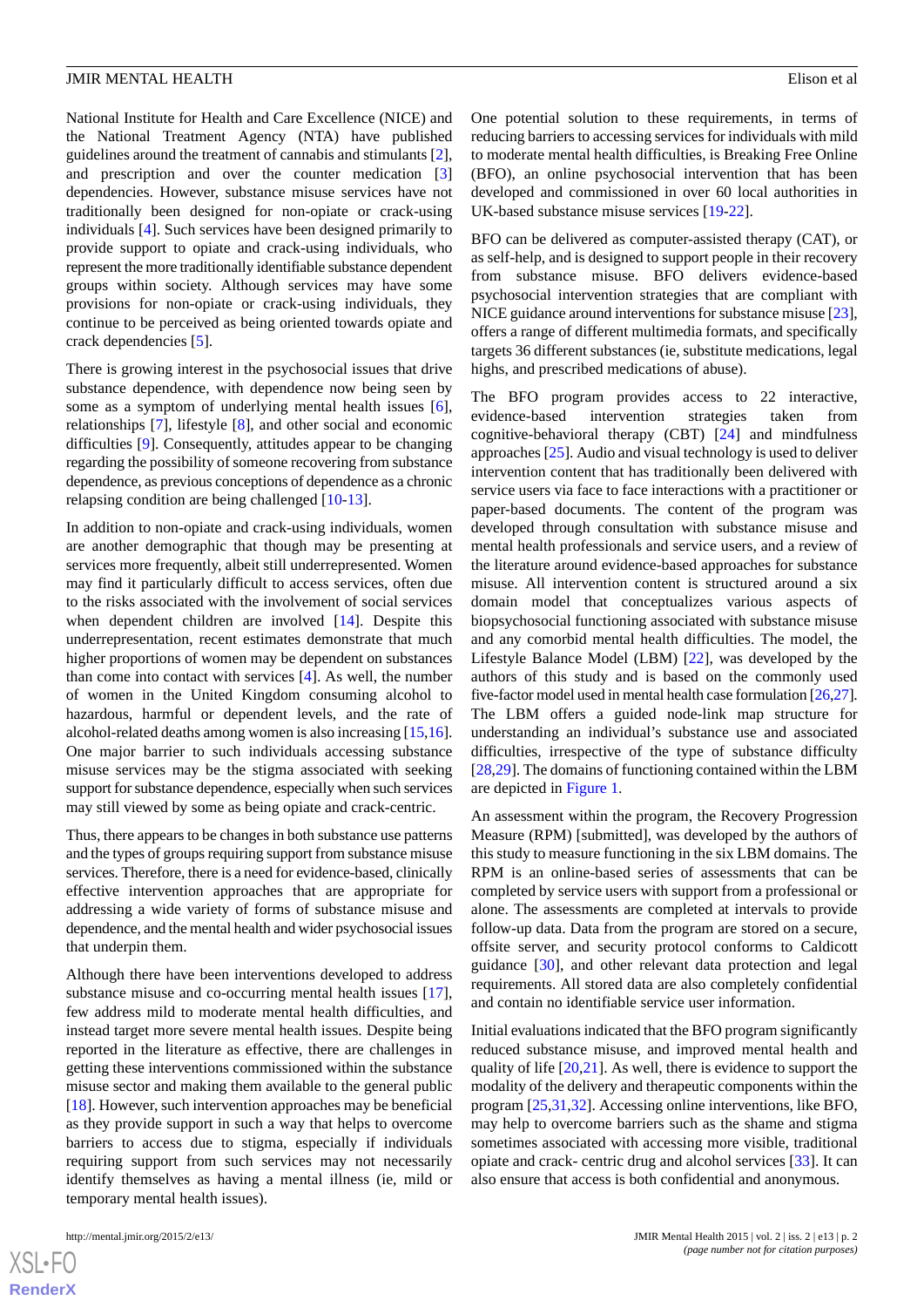National Institute for Health and Care Excellence (NICE) and the National Treatment Agency (NTA) have published guidelines around the treatment of cannabis and stimulants [[2\]](#page-9-1), and prescription and over the counter medication [\[3](#page-9-2)] dependencies. However, substance misuse services have not traditionally been designed for non-opiate or crack-using individuals [[4\]](#page-9-3). Such services have been designed primarily to provide support to opiate and crack-using individuals, who represent the more traditionally identifiable substance dependent groups within society. Although services may have some provisions for non-opiate or crack-using individuals, they continue to be perceived as being oriented towards opiate and crack dependencies [\[5](#page-9-4)].

There is growing interest in the psychosocial issues that drive substance dependence, with dependence now being seen by some as a symptom of underlying mental health issues [[6\]](#page-9-5), relationships [\[7](#page-9-6)], lifestyle [\[8](#page-9-7)], and other social and economic difficulties [[9\]](#page-9-8). Consequently, attitudes appear to be changing regarding the possibility of someone recovering from substance dependence, as previous conceptions of dependence as a chronic relapsing condition are being challenged [\[10](#page-9-9)-[13\]](#page-9-10).

In addition to non-opiate and crack-using individuals, women are another demographic that though may be presenting at services more frequently, albeit still underrepresented. Women may find it particularly difficult to access services, often due to the risks associated with the involvement of social services when dependent children are involved [\[14](#page-9-11)]. Despite this underrepresentation, recent estimates demonstrate that much higher proportions of women may be dependent on substances than come into contact with services [[4\]](#page-9-3). As well, the number of women in the United Kingdom consuming alcohol to hazardous, harmful or dependent levels, and the rate of alcohol-related deaths among women is also increasing [[15,](#page-9-12)[16\]](#page-9-13). One major barrier to such individuals accessing substance misuse services may be the stigma associated with seeking support for substance dependence, especially when such services may still viewed by some as being opiate and crack-centric.

Thus, there appears to be changes in both substance use patterns and the types of groups requiring support from substance misuse services. Therefore, there is a need for evidence-based, clinically effective intervention approaches that are appropriate for addressing a wide variety of forms of substance misuse and dependence, and the mental health and wider psychosocial issues that underpin them.

Although there have been interventions developed to address substance misuse and co-occurring mental health issues [[17\]](#page-9-14), few address mild to moderate mental health difficulties, and instead target more severe mental health issues. Despite being reported in the literature as effective, there are challenges in getting these interventions commissioned within the substance misuse sector and making them available to the general public [[18\]](#page-9-15). However, such intervention approaches may be beneficial as they provide support in such a way that helps to overcome barriers to access due to stigma, especially if individuals requiring support from such services may not necessarily identify themselves as having a mental illness (ie, mild or temporary mental health issues).

One potential solution to these requirements, in terms of reducing barriers to accessing services for individuals with mild to moderate mental health difficulties, is Breaking Free Online (BFO), an online psychosocial intervention that has been developed and commissioned in over 60 local authorities in UK-based substance misuse services [\[19](#page-9-16)-[22\]](#page-9-17).

BFO can be delivered as computer-assisted therapy (CAT), or as self-help, and is designed to support people in their recovery from substance misuse. BFO delivers evidence-based psychosocial intervention strategies that are compliant with NICE guidance around interventions for substance misuse [\[23\]](#page-9-18), offers a range of different multimedia formats, and specifically targets 36 different substances (ie, substitute medications, legal highs, and prescribed medications of abuse).

The BFO program provides access to 22 interactive, evidence-based intervention strategies taken from cognitive-behavioral therapy (CBT) [[24\]](#page-9-19) and mindfulness approaches [[25\]](#page-10-0). Audio and visual technology is used to deliver intervention content that has traditionally been delivered with service users via face to face interactions with a practitioner or paper-based documents. The content of the program was developed through consultation with substance misuse and mental health professionals and service users, and a review of the literature around evidence-based approaches for substance misuse. All intervention content is structured around a six domain model that conceptualizes various aspects of biopsychosocial functioning associated with substance misuse and any comorbid mental health difficulties. The model, the Lifestyle Balance Model (LBM) [[22\]](#page-9-17), was developed by the authors of this study and is based on the commonly used five-factor model used in mental health case formulation [\[26](#page-10-1)[,27](#page-10-2)]. The LBM offers a guided node-link map structure for understanding an individual's substance use and associated difficulties, irrespective of the type of substance difficulty [[28,](#page-10-3)[29\]](#page-10-4). The domains of functioning contained within the LBM are depicted in [Figure 1.](#page-2-0)

An assessment within the program, the Recovery Progression Measure (RPM) [submitted], was developed by the authors of this study to measure functioning in the six LBM domains. The RPM is an online-based series of assessments that can be completed by service users with support from a professional or alone. The assessments are completed at intervals to provide follow-up data. Data from the program are stored on a secure, offsite server, and security protocol conforms to Caldicott guidance [[30\]](#page-10-5), and other relevant data protection and legal requirements. All stored data are also completely confidential and contain no identifiable service user information.

Initial evaluations indicated that the BFO program significantly reduced substance misuse, and improved mental health and quality of life [\[20](#page-9-20),[21\]](#page-9-21). As well, there is evidence to support the modality of the delivery and therapeutic components within the program [\[25](#page-10-0),[31,](#page-10-6)[32](#page-10-7)]. Accessing online interventions, like BFO, may help to overcome barriers such as the shame and stigma sometimes associated with accessing more visible, traditional opiate and crack- centric drug and alcohol services [\[33](#page-10-8)]. It can also ensure that access is both confidential and anonymous.

 $XS$ -FO **[RenderX](http://www.renderx.com/)**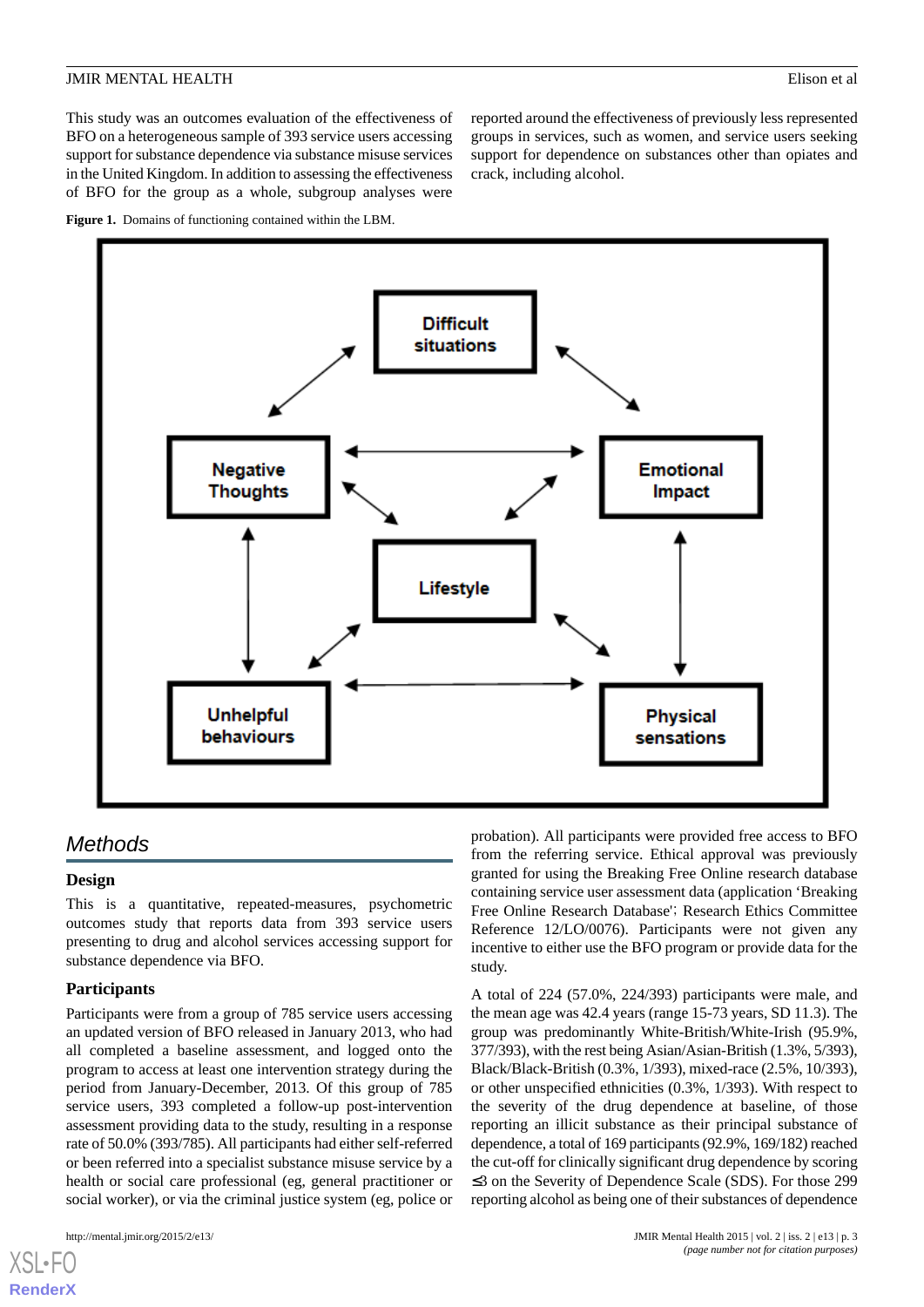This study was an outcomes evaluation of the effectiveness of BFO on a heterogeneous sample of 393 service users accessing support for substance dependence via substance misuse services in the United Kingdom. In addition to assessing the effectiveness of BFO for the group as a whole, subgroup analyses were

<span id="page-2-0"></span>



# *Methods*

#### **Design**

This is a quantitative, repeated-measures, psychometric outcomes study that reports data from 393 service users presenting to drug and alcohol services accessing support for substance dependence via BFO.

#### **Participants**

Participants were from a group of 785 service users accessing an updated version of BFO released in January 2013, who had all completed a baseline assessment, and logged onto the program to access at least one intervention strategy during the period from January-December, 2013. Of this group of 785 service users, 393 completed a follow-up post-intervention assessment providing data to the study, resulting in a response rate of 50.0% (393/785). All participants had either self-referred or been referred into a specialist substance misuse service by a health or social care professional (eg, general practitioner or social worker), or via the criminal justice system (eg, police or

[XSL](http://www.w3.org/Style/XSL)•FO **[RenderX](http://www.renderx.com/)**

probation). All participants were provided free access to BFO from the referring service. Ethical approval was previously granted for using the Breaking Free Online research database containing service user assessment data (application 'Breaking Free Online Research Database'; Research Ethics Committee Reference 12/LO/0076). Participants were not given any incentive to either use the BFO program or provide data for the study.

reported around the effectiveness of previously less represented groups in services, such as women, and service users seeking support for dependence on substances other than opiates and

crack, including alcohol.

A total of 224 (57.0%, 224/393) participants were male, and the mean age was 42.4 years (range 15-73 years, SD 11.3). The group was predominantly White-British/White-Irish (95.9%, 377/393), with the rest being Asian/Asian-British (1.3%, 5/393), Black/Black-British (0.3%, 1/393), mixed-race (2.5%, 10/393), or other unspecified ethnicities (0.3%, 1/393). With respect to the severity of the drug dependence at baseline, of those reporting an illicit substance as their principal substance of dependence, a total of 169 participants (92.9%, 169/182) reached the cut-off for clinically significant drug dependence by scoring ≤3 on the Severity of Dependence Scale (SDS). For those 299 reporting alcohol as being one of their substances of dependence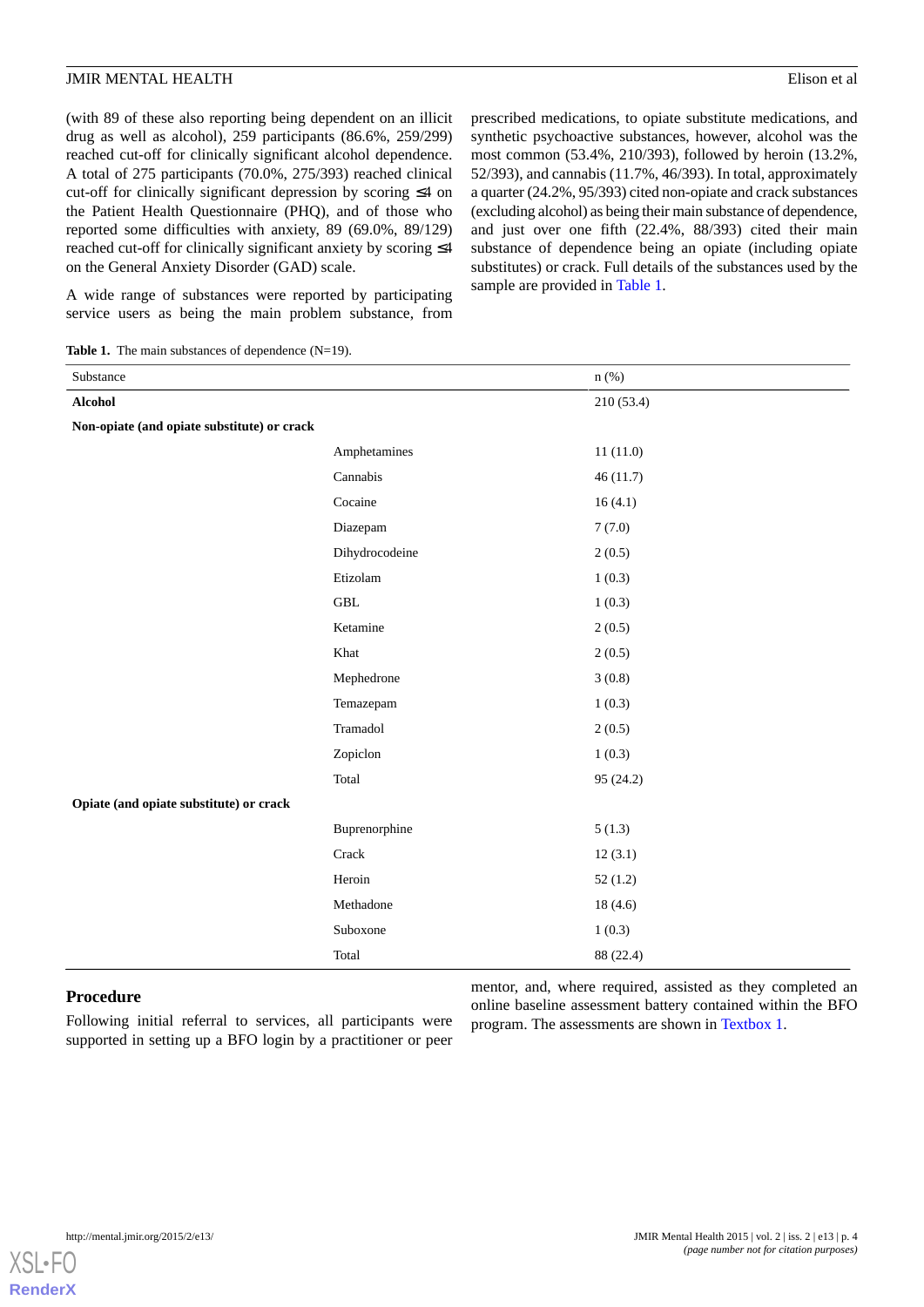(with 89 of these also reporting being dependent on an illicit drug as well as alcohol), 259 participants (86.6%, 259/299) reached cut-off for clinically significant alcohol dependence. A total of 275 participants (70.0%, 275/393) reached clinical cut-off for clinically significant depression by scoring ≤4 on the Patient Health Questionnaire (PHQ), and of those who reported some difficulties with anxiety, 89 (69.0%, 89/129) reached cut-off for clinically significant anxiety by scoring ≤4 on the General Anxiety Disorder (GAD) scale.

prescribed medications, to opiate substitute medications, and synthetic psychoactive substances, however, alcohol was the most common (53.4%, 210/393), followed by heroin (13.2%, 52/393), and cannabis (11.7%, 46/393). In total, approximately a quarter (24.2%, 95/393) cited non-opiate and crack substances (excluding alcohol) as being their main substance of dependence, and just over one fifth (22.4%, 88/393) cited their main substance of dependence being an opiate (including opiate substitutes) or crack. Full details of the substances used by the sample are provided in [Table 1.](#page-3-0)

<span id="page-3-0"></span>A wide range of substances were reported by participating service users as being the main problem substance, from

Table 1. The main substances of dependence (N=19).

| Substance                                   |                | $n$ (%)    |
|---------------------------------------------|----------------|------------|
| <b>Alcohol</b>                              |                | 210 (53.4) |
| Non-opiate (and opiate substitute) or crack |                |            |
|                                             | Amphetamines   | 11(11.0)   |
|                                             | Cannabis       | 46(11.7)   |
|                                             | Cocaine        | 16(4.1)    |
|                                             | Diazepam       | 7(7.0)     |
|                                             | Dihydrocodeine | 2(0.5)     |
|                                             | Etizolam       | 1(0.3)     |
|                                             | <b>GBL</b>     | 1(0.3)     |
|                                             | Ketamine       | 2(0.5)     |
|                                             | Khat           | 2(0.5)     |
|                                             | Mephedrone     | 3(0.8)     |
|                                             | Temazepam      | 1(0.3)     |
|                                             | Tramadol       | 2(0.5)     |
|                                             | Zopiclon       | 1(0.3)     |
|                                             | Total          | 95 (24.2)  |
| Opiate (and opiate substitute) or crack     |                |            |
|                                             | Buprenorphine  | 5(1.3)     |
|                                             | Crack          | 12(3.1)    |
|                                             | Heroin         | 52(1.2)    |
|                                             | Methadone      | 18(4.6)    |
|                                             | Suboxone       | 1(0.3)     |
|                                             | Total          | 88 (22.4)  |

#### **Procedure**

Following initial referral to services, all participants were supported in setting up a BFO login by a practitioner or peer

mentor, and, where required, assisted as they completed an online baseline assessment battery contained within the BFO program. The assessments are shown in [Textbox 1.](#page-4-0)

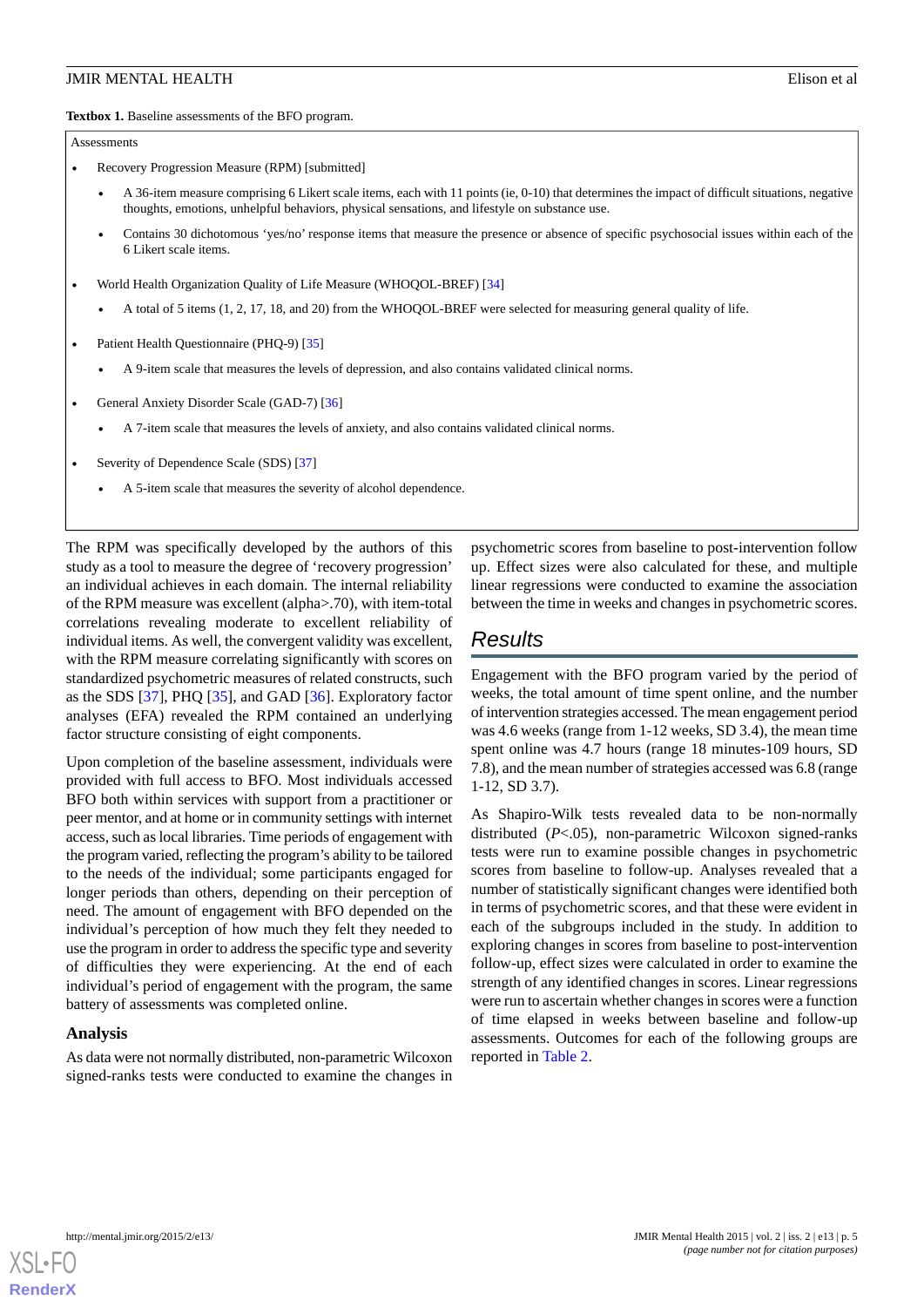<span id="page-4-0"></span>**Textbox 1.** Baseline assessments of the BFO program.

Assessments

- Recovery Progression Measure (RPM) [submitted]
	- A 36-item measure comprising 6 Likert scale items, each with 11 points (ie, 0-10) that determines the impact of difficult situations, negative thoughts, emotions, unhelpful behaviors, physical sensations, and lifestyle on substance use.
	- Contains 30 dichotomous 'yes/no' response items that measure the presence or absence of specific psychosocial issues within each of the 6 Likert scale items.
- World Health Organization Quality of Life Measure (WHOQOL-BREF) [[34](#page-10-9)]
	- A total of 5 items (1, 2, 17, 18, and 20) from the WHOQOL-BREF were selected for measuring general quality of life.
- Patient Health Questionnaire (PHQ-9) [\[35\]](#page-10-10)
	- A 9-item scale that measures the levels of depression, and also contains validated clinical norms.
- General Anxiety Disorder Scale (GAD-7) [[36](#page-10-11)]
	- A 7-item scale that measures the levels of anxiety, and also contains validated clinical norms.
- Severity of Dependence Scale (SDS) [[37](#page-10-12)]
	- A 5-item scale that measures the severity of alcohol dependence.

The RPM was specifically developed by the authors of this study as a tool to measure the degree of 'recovery progression' an individual achieves in each domain. The internal reliability of the RPM measure was excellent (alpha>.70), with item-total correlations revealing moderate to excellent reliability of individual items. As well, the convergent validity was excellent, with the RPM measure correlating significantly with scores on standardized psychometric measures of related constructs, such as the SDS [\[37](#page-10-12)], PHQ [[35\]](#page-10-10), and GAD [[36\]](#page-10-11). Exploratory factor analyses (EFA) revealed the RPM contained an underlying factor structure consisting of eight components.

Upon completion of the baseline assessment, individuals were provided with full access to BFO. Most individuals accessed BFO both within services with support from a practitioner or peer mentor, and at home or in community settings with internet access, such as local libraries. Time periods of engagement with the program varied, reflecting the program's ability to be tailored to the needs of the individual; some participants engaged for longer periods than others, depending on their perception of need. The amount of engagement with BFO depended on the individual's perception of how much they felt they needed to use the program in order to address the specific type and severity of difficulties they were experiencing. At the end of each individual's period of engagement with the program, the same battery of assessments was completed online.

#### **Analysis**

As data were not normally distributed, non-parametric Wilcoxon signed-ranks tests were conducted to examine the changes in psychometric scores from baseline to post-intervention follow up. Effect sizes were also calculated for these, and multiple linear regressions were conducted to examine the association between the time in weeks and changes in psychometric scores.

# *Results*

Engagement with the BFO program varied by the period of weeks, the total amount of time spent online, and the number of intervention strategies accessed. The mean engagement period was 4.6 weeks (range from 1-12 weeks, SD 3.4), the mean time spent online was 4.7 hours (range 18 minutes-109 hours, SD 7.8), and the mean number of strategies accessed was 6.8 (range 1-12, SD 3.7).

As Shapiro-Wilk tests revealed data to be non-normally distributed (*P*<.05), non-parametric Wilcoxon signed-ranks tests were run to examine possible changes in psychometric scores from baseline to follow-up. Analyses revealed that a number of statistically significant changes were identified both in terms of psychometric scores, and that these were evident in each of the subgroups included in the study. In addition to exploring changes in scores from baseline to post-intervention follow-up, effect sizes were calculated in order to examine the strength of any identified changes in scores. Linear regressions were run to ascertain whether changes in scores were a function of time elapsed in weeks between baseline and follow-up assessments. Outcomes for each of the following groups are reported in [Table 2](#page-5-0).

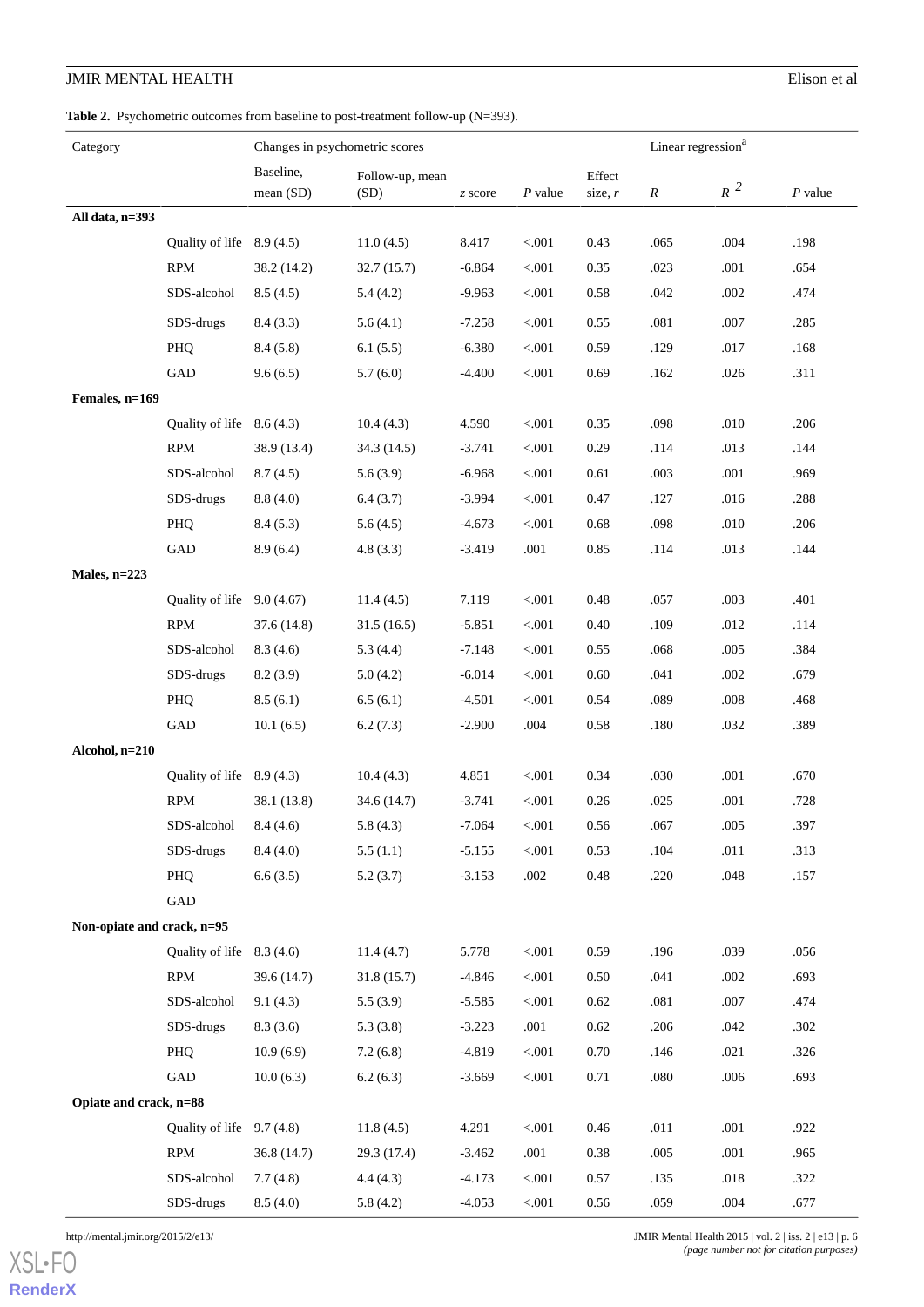<span id="page-5-0"></span>Table 2. Psychometric outcomes from baseline to post-treatment follow-up (N=393).

| Category                   |                            | Changes in psychometric scores |                         |          |           | Linear regression <sup>a</sup> |                  |        |           |
|----------------------------|----------------------------|--------------------------------|-------------------------|----------|-----------|--------------------------------|------------------|--------|-----------|
|                            |                            | Baseline,<br>mean(SD)          | Follow-up, mean<br>(SD) | z score  | $P$ value | Effect<br>size, $r$            | $\boldsymbol{R}$ | $R^2$  | $P$ value |
| All data, n=393            |                            |                                |                         |          |           |                                |                  |        |           |
|                            | Quality of life $8.9(4.5)$ |                                | 11.0(4.5)               | 8.417    | < .001    | 0.43                           | .065             | .004   | .198      |
|                            | <b>RPM</b>                 | 38.2 (14.2)                    | 32.7(15.7)              | $-6.864$ | < 0.001   | 0.35                           | .023             | .001   | .654      |
|                            | SDS-alcohol                | 8.5(4.5)                       | 5.4(4.2)                | $-9.963$ | < .001    | 0.58                           | .042             | .002   | .474      |
|                            | SDS-drugs                  | 8.4(3.3)                       | 5.6(4.1)                | $-7.258$ | < .001    | 0.55                           | .081             | .007   | .285      |
|                            | PHQ                        | 8.4(5.8)                       | 6.1(5.5)                | $-6.380$ | $< 001$   | 0.59                           | .129             | .017   | .168      |
|                            | GAD                        | 9.6(6.5)                       | 5.7(6.0)                | $-4.400$ | < 0.001   | 0.69                           | .162             | .026   | .311      |
| Females, n=169             |                            |                                |                         |          |           |                                |                  |        |           |
|                            | Quality of life $8.6(4.3)$ |                                | 10.4(4.3)               | 4.590    | < .001    | 0.35                           | .098             | .010   | .206      |
|                            | <b>RPM</b>                 | 38.9 (13.4)                    | 34.3(14.5)              | $-3.741$ | < .001    | 0.29                           | .114             | .013   | .144      |
|                            | SDS-alcohol                | 8.7(4.5)                       | 5.6(3.9)                | $-6.968$ | < 0.001   | 0.61                           | .003             | .001   | .969      |
|                            | SDS-drugs                  | 8.8(4.0)                       | 6.4(3.7)                | $-3.994$ | < .001    | 0.47                           | .127             | .016   | .288      |
|                            | PHQ                        | 8.4(5.3)                       | 5.6(4.5)                | $-4.673$ | < .001    | 0.68                           | .098             | .010   | .206      |
|                            | GAD                        | 8.9(6.4)                       | 4.8(3.3)                | $-3.419$ | .001      | 0.85                           | .114             | .013   | .144      |
| Males, $n=223$             |                            |                                |                         |          |           |                                |                  |        |           |
|                            | Quality of life 9.0 (4.67) |                                | 11.4(4.5)               | 7.119    | $< 001$   | 0.48                           | .057             | .003   | .401      |
|                            | <b>RPM</b>                 | 37.6 (14.8)                    | 31.5(16.5)              | $-5.851$ | < 0.001   | 0.40                           | .109             | .012   | .114      |
|                            | SDS-alcohol                | 8.3(4.6)                       | 5.3(4.4)                | $-7.148$ | < 0.001   | 0.55                           | .068             | .005   | .384      |
|                            | SDS-drugs                  | 8.2(3.9)                       | 5.0(4.2)                | $-6.014$ | < .001    | 0.60                           | .041             | .002   | .679      |
|                            | PHQ                        | 8.5(6.1)                       | 6.5(6.1)                | $-4.501$ | < .001    | 0.54                           | .089             | .008   | .468      |
|                            | GAD                        | 10.1(6.5)                      | 6.2(7.3)                | $-2.900$ | .004      | 0.58                           | .180             | .032   | .389      |
| Alcohol, n=210             |                            |                                |                         |          |           |                                |                  |        |           |
|                            | Quality of life $8.9(4.3)$ |                                | 10.4(4.3)               | 4.851    | < .001    | 0.34                           | .030             | .001   | .670      |
|                            | <b>RPM</b>                 | 38.1 (13.8)                    | 34.6 (14.7)             | $-3.741$ | < .001    | 0.26                           | .025             | .001   | .728      |
|                            | SDS-alcohol                | 8.4(4.6)                       | 5.8(4.3)                | $-7.064$ | $< 0.01$  | $0.56\,$                       | .067             | $.005$ | .397      |
|                            | SDS-drugs                  | 8.4(4.0)                       | 5.5(1.1)                | $-5.155$ | $< 001$   | 0.53                           | .104             | .011   | .313      |
|                            | PHQ                        | 6.6(3.5)                       | 5.2(3.7)                | $-3.153$ | .002      | $0.48\,$                       | .220             | .048   | .157      |
|                            | ${\rm GAD}$                |                                |                         |          |           |                                |                  |        |           |
| Non-opiate and crack, n=95 |                            |                                |                         |          |           |                                |                  |        |           |
|                            | Quality of life            | 8.3(4.6)                       | 11.4(4.7)               | 5.778    | $< 001$   | 0.59                           | .196             | .039   | .056      |
|                            | RPM                        | 39.6 (14.7)                    | 31.8(15.7)              | $-4.846$ | < 0.001   | 0.50                           | .041             | .002   | .693      |
|                            | SDS-alcohol                | 9.1(4.3)                       | 5.5(3.9)                | $-5.585$ | < .001    | 0.62                           | .081             | .007   | .474      |
|                            | SDS-drugs                  | 8.3(3.6)                       | 5.3(3.8)                | $-3.223$ | $.001$    | 0.62                           | .206             | .042   | .302      |
|                            | PHQ                        | 10.9(6.9)                      | 7.2(6.8)                | $-4.819$ | < 0.001   | 0.70                           | .146             | .021   | .326      |
|                            | GAD                        | 10.0(6.3)                      | 6.2(6.3)                | $-3.669$ | < 0.001   | 0.71                           | .080             | .006   | .693      |
| Opiate and crack, n=88     |                            |                                |                         |          |           |                                |                  |        |           |
|                            | Quality of life            | 9.7(4.8)                       | 11.8(4.5)               | 4.291    | $< 001$   | 0.46                           | .011             | $.001$ | .922      |
|                            | <b>RPM</b>                 | 36.8 (14.7)                    | 29.3 (17.4)             | $-3.462$ | .001      | $0.38\,$                       | .005             | $.001$ | .965      |
|                            | SDS-alcohol                | 7.7(4.8)                       | 4.4(4.3)                | $-4.173$ | < .001    | 0.57                           | .135             | .018   | .322      |
|                            | SDS-drugs                  | 8.5(4.0)                       | 5.8(4.2)                | $-4.053$ | < 0.001   | 0.56                           | .059             | .004   | .677      |

[XSL](http://www.w3.org/Style/XSL)•FO **[RenderX](http://www.renderx.com/)**

http://mental.jmir.org/2015/2/e13/ JMIR Mental Health 2015 | vol. 2 | iss. 2 | e13 | p. 6 *(page number not for citation purposes)*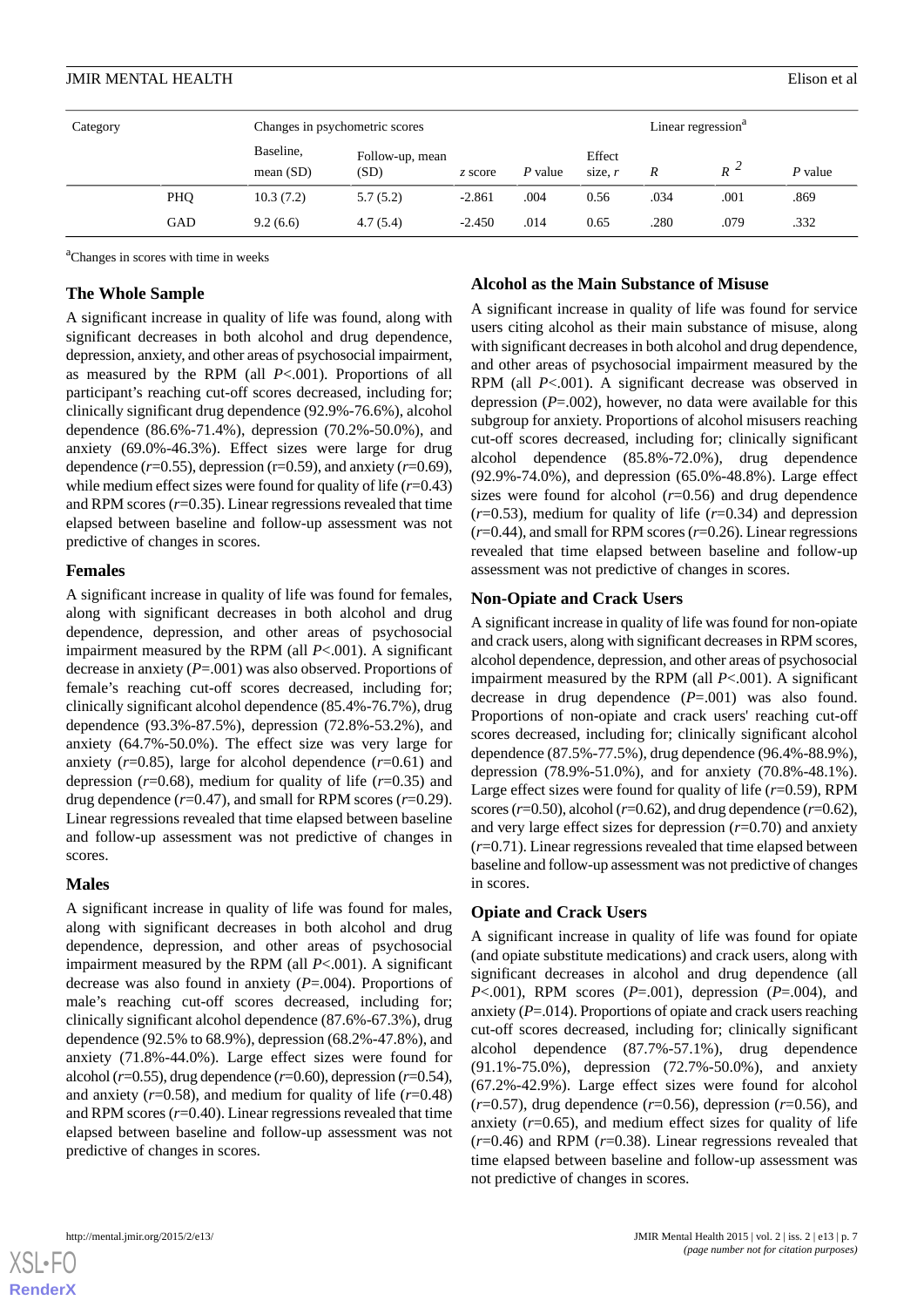| Category |            | Changes in psychometric scores |                         |          |         | Linear regression <sup>a</sup> |      |       |           |
|----------|------------|--------------------------------|-------------------------|----------|---------|--------------------------------|------|-------|-----------|
|          |            | Baseline,<br>mean $(SD)$       | Follow-up, mean<br>(SD) | z score  | P value | Effect<br>size, $r$            | R    | $R^2$ | $P$ value |
|          | <b>PHQ</b> | 10.3(7.2)                      | 5.7(5.2)                | $-2.861$ | .004    | 0.56                           | .034 | .001  | .869      |
|          | GAD        | 9.2(6.6)                       | 4.7(5.4)                | $-2.450$ | .014    | 0.65                           | .280 | .079  | .332      |

<sup>a</sup>Changes in scores with time in weeks

#### **The Whole Sample**

A significant increase in quality of life was found, along with significant decreases in both alcohol and drug dependence, depression, anxiety, and other areas of psychosocial impairment, as measured by the RPM (all *P*<.001). Proportions of all participant's reaching cut-off scores decreased, including for; clinically significant drug dependence (92.9%-76.6%), alcohol dependence (86.6%-71.4%), depression (70.2%-50.0%), and anxiety (69.0%-46.3%). Effect sizes were large for drug dependence  $(r=0.55)$ , depression  $(r=0.59)$ , and anxiety  $(r=0.69)$ , while medium effect sizes were found for quality of life (*r*=0.43) and RPM scores  $(r=0.35)$ . Linear regressions revealed that time elapsed between baseline and follow-up assessment was not predictive of changes in scores.

#### **Females**

A significant increase in quality of life was found for females, along with significant decreases in both alcohol and drug dependence, depression, and other areas of psychosocial impairment measured by the RPM (all *P*<.001). A significant decrease in anxiety (*P*=.001) was also observed. Proportions of female's reaching cut-off scores decreased, including for; clinically significant alcohol dependence (85.4%-76.7%), drug dependence (93.3%-87.5%), depression (72.8%-53.2%), and anxiety (64.7%-50.0%). The effect size was very large for anxiety  $(r=0.85)$ , large for alcohol dependence  $(r=0.61)$  and depression  $(r=0.68)$ , medium for quality of life  $(r=0.35)$  and drug dependence (*r*=0.47), and small for RPM scores (*r*=0.29). Linear regressions revealed that time elapsed between baseline and follow-up assessment was not predictive of changes in scores.

#### **Males**

A significant increase in quality of life was found for males, along with significant decreases in both alcohol and drug dependence, depression, and other areas of psychosocial impairment measured by the RPM (all *P*<.001). A significant decrease was also found in anxiety (*P*=.004). Proportions of male's reaching cut-off scores decreased, including for; clinically significant alcohol dependence (87.6%-67.3%), drug dependence (92.5% to 68.9%), depression (68.2%-47.8%), and anxiety (71.8%-44.0%). Large effect sizes were found for alcohol (*r*=0.55), drug dependence (*r*=0.60), depression (*r*=0.54), and anxiety  $(r=0.58)$ , and medium for quality of life  $(r=0.48)$ and RPM scores (*r*=0.40). Linear regressions revealed that time elapsed between baseline and follow-up assessment was not predictive of changes in scores.

#### **Alcohol as the Main Substance of Misuse**

A significant increase in quality of life was found for service users citing alcohol as their main substance of misuse, along with significant decreases in both alcohol and drug dependence, and other areas of psychosocial impairment measured by the RPM (all *P*<.001). A significant decrease was observed in depression (*P*=.002), however, no data were available for this subgroup for anxiety. Proportions of alcohol misusers reaching cut-off scores decreased, including for; clinically significant alcohol dependence (85.8%-72.0%), drug dependence (92.9%-74.0%), and depression (65.0%-48.8%). Large effect sizes were found for alcohol (*r*=0.56) and drug dependence  $(r=0.53)$ , medium for quality of life  $(r=0.34)$  and depression (*r*=0.44), and small for RPM scores (*r*=0.26). Linear regressions revealed that time elapsed between baseline and follow-up assessment was not predictive of changes in scores.

#### **Non-Opiate and Crack Users**

A significant increase in quality of life was found for non-opiate and crack users, along with significant decreases in RPM scores, alcohol dependence, depression, and other areas of psychosocial impairment measured by the RPM (all *P*<.001). A significant decrease in drug dependence (*P*=.001) was also found. Proportions of non-opiate and crack users' reaching cut-off scores decreased, including for; clinically significant alcohol dependence (87.5%-77.5%), drug dependence (96.4%-88.9%), depression (78.9%-51.0%), and for anxiety (70.8%-48.1%). Large effect sizes were found for quality of life (*r*=0.59), RPM scores ( $r=0.50$ ), alcohol ( $r=0.62$ ), and drug dependence ( $r=0.62$ ), and very large effect sizes for depression (*r*=0.70) and anxiety (*r*=0.71). Linear regressions revealed that time elapsed between baseline and follow-up assessment was not predictive of changes in scores.

#### **Opiate and Crack Users**

A significant increase in quality of life was found for opiate (and opiate substitute medications) and crack users, along with significant decreases in alcohol and drug dependence (all *P*<.001), RPM scores (*P*=.001), depression (*P*=.004), and anxiety (*P*=.014). Proportions of opiate and crack users reaching cut-off scores decreased, including for; clinically significant alcohol dependence (87.7%-57.1%), drug dependence (91.1%-75.0%), depression (72.7%-50.0%), and anxiety (67.2%-42.9%). Large effect sizes were found for alcohol  $(r=0.57)$ , drug dependence  $(r=0.56)$ , depression  $(r=0.56)$ , and anxiety  $(r=0.65)$ , and medium effect sizes for quality of life (*r*=0.46) and RPM (*r*=0.38). Linear regressions revealed that time elapsed between baseline and follow-up assessment was not predictive of changes in scores.



**[RenderX](http://www.renderx.com/)**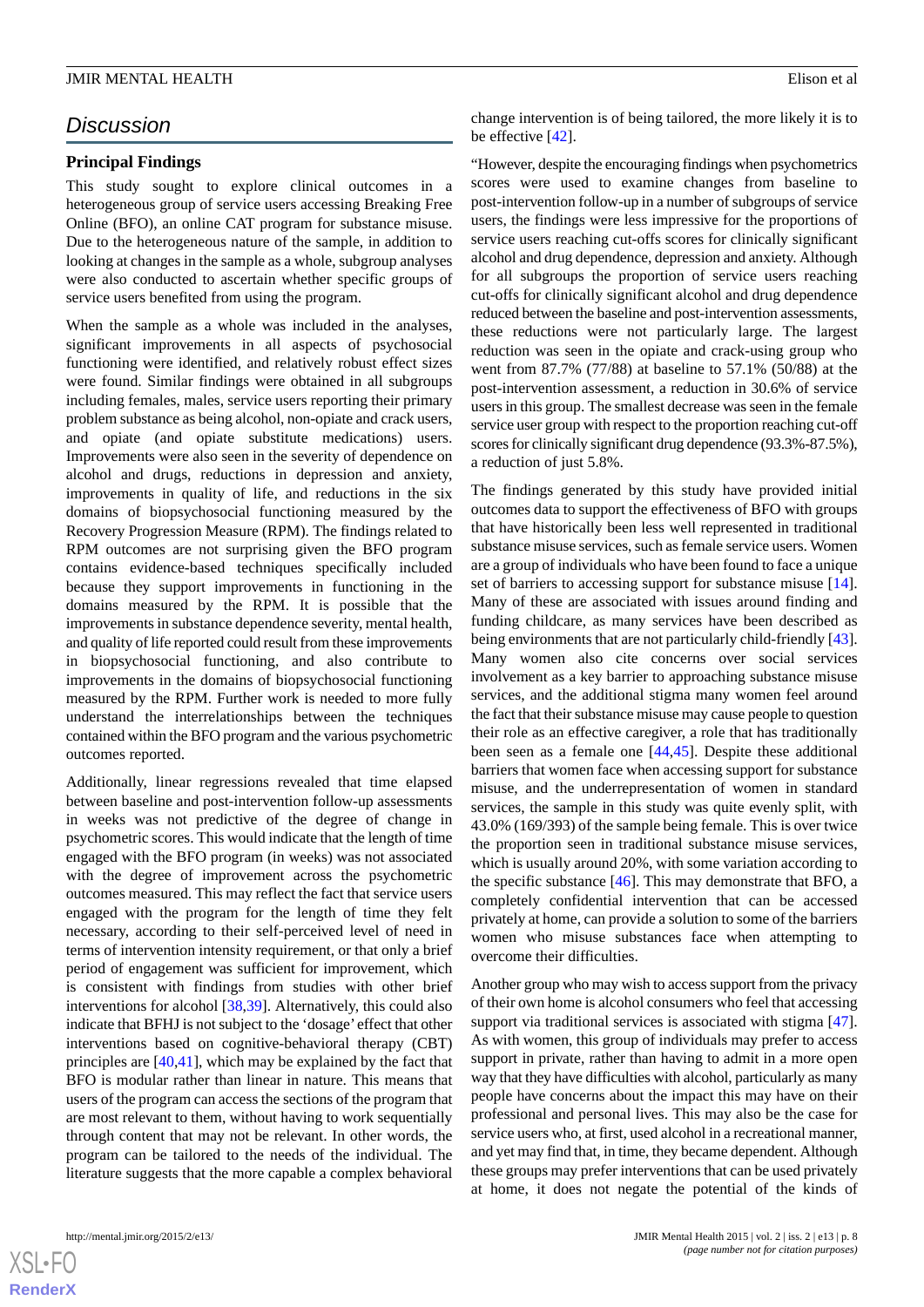## *Discussion*

#### **Principal Findings**

This study sought to explore clinical outcomes in a heterogeneous group of service users accessing Breaking Free Online (BFO), an online CAT program for substance misuse. Due to the heterogeneous nature of the sample, in addition to looking at changes in the sample as a whole, subgroup analyses were also conducted to ascertain whether specific groups of service users benefited from using the program.

When the sample as a whole was included in the analyses, significant improvements in all aspects of psychosocial functioning were identified, and relatively robust effect sizes were found. Similar findings were obtained in all subgroups including females, males, service users reporting their primary problem substance as being alcohol, non-opiate and crack users, and opiate (and opiate substitute medications) users. Improvements were also seen in the severity of dependence on alcohol and drugs, reductions in depression and anxiety, improvements in quality of life, and reductions in the six domains of biopsychosocial functioning measured by the Recovery Progression Measure (RPM). The findings related to RPM outcomes are not surprising given the BFO program contains evidence-based techniques specifically included because they support improvements in functioning in the domains measured by the RPM. It is possible that the improvements in substance dependence severity, mental health, and quality of life reported could result from these improvements in biopsychosocial functioning, and also contribute to improvements in the domains of biopsychosocial functioning measured by the RPM. Further work is needed to more fully understand the interrelationships between the techniques contained within the BFO program and the various psychometric outcomes reported.

Additionally, linear regressions revealed that time elapsed between baseline and post-intervention follow-up assessments in weeks was not predictive of the degree of change in psychometric scores. This would indicate that the length of time engaged with the BFO program (in weeks) was not associated with the degree of improvement across the psychometric outcomes measured. This may reflect the fact that service users engaged with the program for the length of time they felt necessary, according to their self-perceived level of need in terms of intervention intensity requirement, or that only a brief period of engagement was sufficient for improvement, which is consistent with findings from studies with other brief interventions for alcohol [\[38](#page-10-13),[39\]](#page-10-14). Alternatively, this could also indicate that BFHJ is not subject to the 'dosage' effect that other interventions based on cognitive-behavioral therapy (CBT) principles are [\[40](#page-10-15),[41\]](#page-10-16), which may be explained by the fact that BFO is modular rather than linear in nature. This means that users of the program can access the sections of the program that are most relevant to them, without having to work sequentially through content that may not be relevant. In other words, the program can be tailored to the needs of the individual. The literature suggests that the more capable a complex behavioral

change intervention is of being tailored, the more likely it is to be effective [[42\]](#page-10-17).

"However, despite the encouraging findings when psychometrics scores were used to examine changes from baseline to post-intervention follow-up in a number of subgroups of service users, the findings were less impressive for the proportions of service users reaching cut-offs scores for clinically significant alcohol and drug dependence, depression and anxiety. Although for all subgroups the proportion of service users reaching cut-offs for clinically significant alcohol and drug dependence reduced between the baseline and post-intervention assessments, these reductions were not particularly large. The largest reduction was seen in the opiate and crack-using group who went from 87.7% (77/88) at baseline to 57.1% (50/88) at the post-intervention assessment, a reduction in 30.6% of service users in this group. The smallest decrease was seen in the female service user group with respect to the proportion reaching cut-off scores for clinically significant drug dependence (93.3%-87.5%), a reduction of just 5.8%.

The findings generated by this study have provided initial outcomes data to support the effectiveness of BFO with groups that have historically been less well represented in traditional substance misuse services, such as female service users. Women are a group of individuals who have been found to face a unique set of barriers to accessing support for substance misuse [[14\]](#page-9-11). Many of these are associated with issues around finding and funding childcare, as many services have been described as being environments that are not particularly child-friendly [\[43\]](#page-10-18). Many women also cite concerns over social services involvement as a key barrier to approaching substance misuse services, and the additional stigma many women feel around the fact that their substance misuse may cause people to question their role as an effective caregiver, a role that has traditionally been seen as a female one [[44,](#page-10-19)[45](#page-10-20)]. Despite these additional barriers that women face when accessing support for substance misuse, and the underrepresentation of women in standard services, the sample in this study was quite evenly split, with 43.0% (169/393) of the sample being female. This is over twice the proportion seen in traditional substance misuse services, which is usually around 20%, with some variation according to the specific substance [\[46](#page-10-21)]. This may demonstrate that BFO, a completely confidential intervention that can be accessed privately at home, can provide a solution to some of the barriers women who misuse substances face when attempting to overcome their difficulties.

Another group who may wish to access support from the privacy of their own home is alcohol consumers who feel that accessing support via traditional services is associated with stigma [[47\]](#page-10-22). As with women, this group of individuals may prefer to access support in private, rather than having to admit in a more open way that they have difficulties with alcohol, particularly as many people have concerns about the impact this may have on their professional and personal lives. This may also be the case for service users who, at first, used alcohol in a recreational manner, and yet may find that, in time, they became dependent. Although these groups may prefer interventions that can be used privately at home, it does not negate the potential of the kinds of



 $XS$ -FO **[RenderX](http://www.renderx.com/)**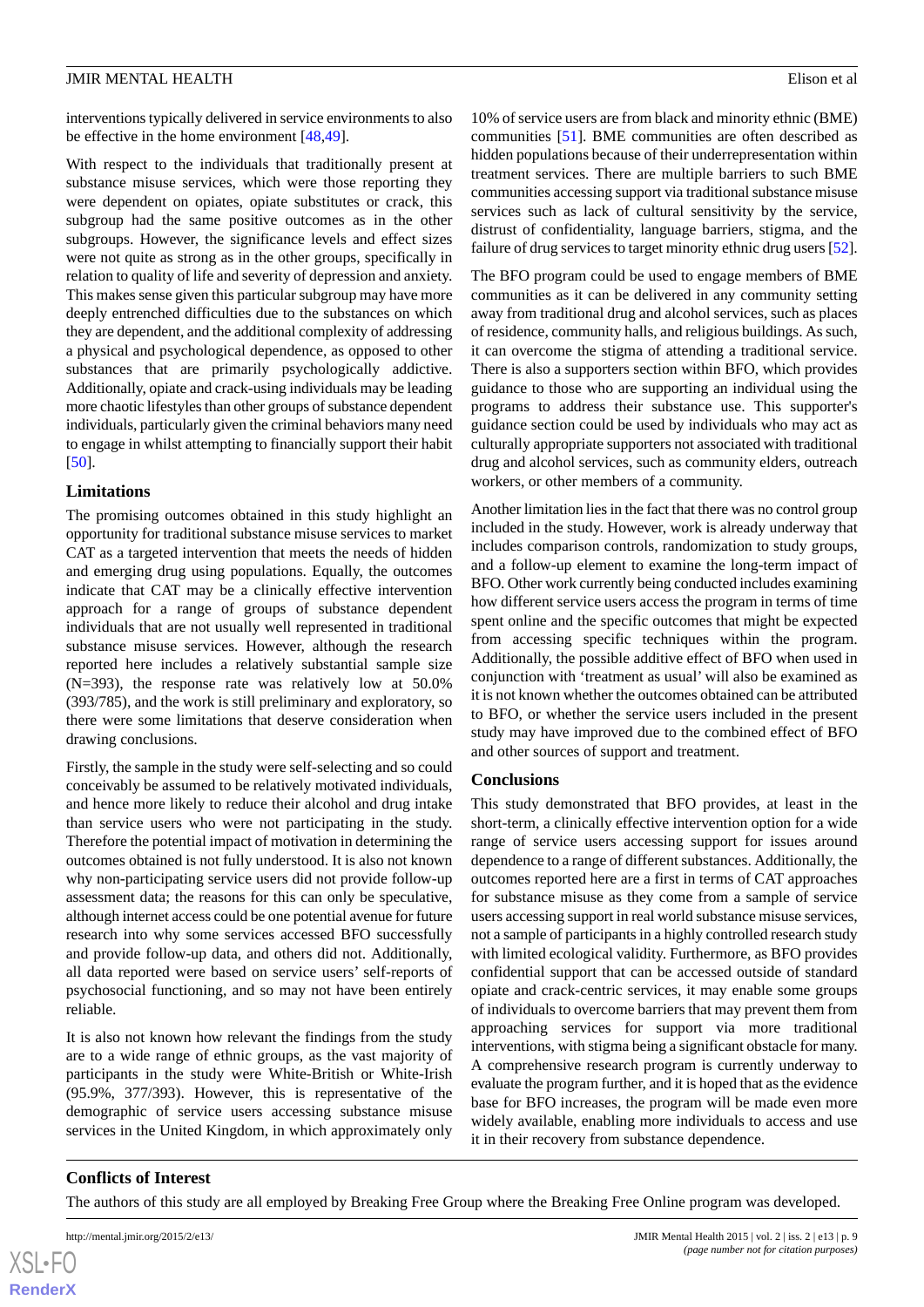interventions typically delivered in service environments to also be effective in the home environment [[48,](#page-10-23)[49\]](#page-11-0).

With respect to the individuals that traditionally present at substance misuse services, which were those reporting they were dependent on opiates, opiate substitutes or crack, this subgroup had the same positive outcomes as in the other subgroups. However, the significance levels and effect sizes were not quite as strong as in the other groups, specifically in relation to quality of life and severity of depression and anxiety. This makes sense given this particular subgroup may have more deeply entrenched difficulties due to the substances on which they are dependent, and the additional complexity of addressing a physical and psychological dependence, as opposed to other substances that are primarily psychologically addictive. Additionally, opiate and crack-using individuals may be leading more chaotic lifestyles than other groups of substance dependent individuals, particularly given the criminal behaviors many need to engage in whilst attempting to financially support their habit [[50\]](#page-11-1).

#### **Limitations**

The promising outcomes obtained in this study highlight an opportunity for traditional substance misuse services to market CAT as a targeted intervention that meets the needs of hidden and emerging drug using populations. Equally, the outcomes indicate that CAT may be a clinically effective intervention approach for a range of groups of substance dependent individuals that are not usually well represented in traditional substance misuse services. However, although the research reported here includes a relatively substantial sample size (N=393), the response rate was relatively low at 50.0% (393/785), and the work is still preliminary and exploratory, so there were some limitations that deserve consideration when drawing conclusions.

Firstly, the sample in the study were self-selecting and so could conceivably be assumed to be relatively motivated individuals, and hence more likely to reduce their alcohol and drug intake than service users who were not participating in the study. Therefore the potential impact of motivation in determining the outcomes obtained is not fully understood. It is also not known why non-participating service users did not provide follow-up assessment data; the reasons for this can only be speculative, although internet access could be one potential avenue for future research into why some services accessed BFO successfully and provide follow-up data, and others did not. Additionally, all data reported were based on service users' self-reports of psychosocial functioning, and so may not have been entirely reliable.

It is also not known how relevant the findings from the study are to a wide range of ethnic groups, as the vast majority of participants in the study were White-British or White-Irish (95.9%, 377/393). However, this is representative of the demographic of service users accessing substance misuse services in the United Kingdom, in which approximately only

10% of service users are from black and minority ethnic (BME) communities [\[51](#page-11-2)]. BME communities are often described as hidden populations because of their underrepresentation within treatment services. There are multiple barriers to such BME communities accessing support via traditional substance misuse services such as lack of cultural sensitivity by the service, distrust of confidentiality, language barriers, stigma, and the failure of drug services to target minority ethnic drug users [\[52](#page-11-3)].

The BFO program could be used to engage members of BME communities as it can be delivered in any community setting away from traditional drug and alcohol services, such as places of residence, community halls, and religious buildings. As such, it can overcome the stigma of attending a traditional service. There is also a supporters section within BFO, which provides guidance to those who are supporting an individual using the programs to address their substance use. This supporter's guidance section could be used by individuals who may act as culturally appropriate supporters not associated with traditional drug and alcohol services, such as community elders, outreach workers, or other members of a community.

Another limitation lies in the fact that there was no control group included in the study. However, work is already underway that includes comparison controls, randomization to study groups, and a follow-up element to examine the long-term impact of BFO. Other work currently being conducted includes examining how different service users access the program in terms of time spent online and the specific outcomes that might be expected from accessing specific techniques within the program. Additionally, the possible additive effect of BFO when used in conjunction with 'treatment as usual' will also be examined as it is not known whether the outcomes obtained can be attributed to BFO, or whether the service users included in the present study may have improved due to the combined effect of BFO and other sources of support and treatment.

#### **Conclusions**

This study demonstrated that BFO provides, at least in the short-term, a clinically effective intervention option for a wide range of service users accessing support for issues around dependence to a range of different substances. Additionally, the outcomes reported here are a first in terms of CAT approaches for substance misuse as they come from a sample of service users accessing support in real world substance misuse services, not a sample of participants in a highly controlled research study with limited ecological validity. Furthermore, as BFO provides confidential support that can be accessed outside of standard opiate and crack-centric services, it may enable some groups of individuals to overcome barriers that may prevent them from approaching services for support via more traditional interventions, with stigma being a significant obstacle for many. A comprehensive research program is currently underway to evaluate the program further, and it is hoped that as the evidence base for BFO increases, the program will be made even more widely available, enabling more individuals to access and use it in their recovery from substance dependence.

#### **Conflicts of Interest**

The authors of this study are all employed by Breaking Free Group where the Breaking Free Online program was developed.

 $XS$ -FO **[RenderX](http://www.renderx.com/)**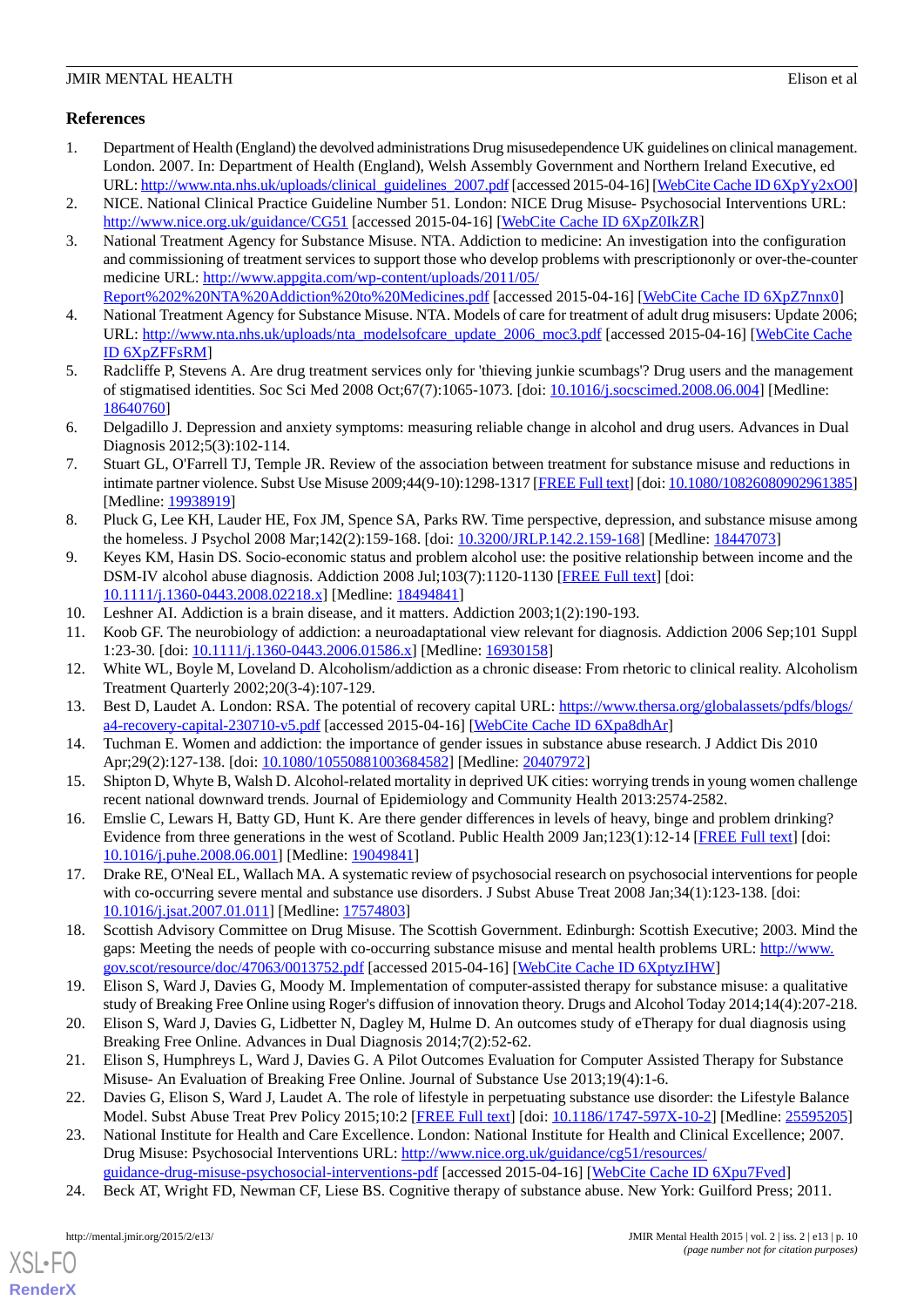#### **References**

- <span id="page-9-0"></span>1. Department of Health (England) the devolved administrations Drug misusedependence UK guidelines on clinical management. London. 2007. In: Department of Health (England), Welsh Assembly Government and Northern Ireland Executive, ed URL: [http://www.nta.nhs.uk/uploads/clinical\\_guidelines\\_2007.pdf](http://www.nta.nhs.uk/uploads/clinical_guidelines_2007.pdf) [accessed 2015-04-16] [[WebCite Cache ID 6XpYy2xO0\]](http://www.webcitation.org/

                                6XpYy2xO0)
- <span id="page-9-2"></span><span id="page-9-1"></span>2. NICE. National Clinical Practice Guideline Number 51. London: NICE Drug Misuse- Psychosocial Interventions URL: <http://www.nice.org.uk/guidance/CG51> [accessed 2015-04-16] [\[WebCite Cache ID 6XpZ0IkZR\]](http://www.webcitation.org/

                                6XpZ0IkZR)
- 3. National Treatment Agency for Substance Misuse. NTA. Addiction to medicine: An investigation into the configuration and commissioning of treatment services to support those who develop problems with prescriptiononly or over-the-counter medicine URL: [http://www.appgita.com/wp-content/uploads/2011/05/](http://www.appgita.com/wp-content/uploads/2011/05/Report%202%20NTA%20Addiction%20to%20Medicines.pdf)
- <span id="page-9-3"></span>[Report%202%20NTA%20Addiction%20to%20Medicines.pdf](http://www.appgita.com/wp-content/uploads/2011/05/Report%202%20NTA%20Addiction%20to%20Medicines.pdf) [accessed 2015-04-16] [\[WebCite Cache ID 6XpZ7nnx0](http://www.webcitation.org/

                                6XpZ7nnx0)]
- <span id="page-9-4"></span>4. National Treatment Agency for Substance Misuse. NTA. Models of care for treatment of adult drug misusers: Update 2006; URL: [http://www.nta.nhs.uk/uploads/nta\\_modelsofcare\\_update\\_2006\\_moc3.pdf](http://www.nta.nhs.uk/uploads/nta_modelsofcare_update_2006_moc3.pdf) [accessed 2015-04-16] [[WebCite Cache](http://www.webcitation.org/

                                6XpZFFsRM) [ID 6XpZFFsRM\]](http://www.webcitation.org/

                                6XpZFFsRM)
- <span id="page-9-5"></span>5. Radcliffe P, Stevens A. Are drug treatment services only for 'thieving junkie scumbags'? Drug users and the management of stigmatised identities. Soc Sci Med 2008 Oct;67(7):1065-1073. [doi: [10.1016/j.socscimed.2008.06.004](http://dx.doi.org/10.1016/j.socscimed.2008.06.004)] [Medline: [18640760](http://www.ncbi.nlm.nih.gov/entrez/query.fcgi?cmd=Retrieve&db=PubMed&list_uids=18640760&dopt=Abstract)]
- <span id="page-9-6"></span>6. Delgadillo J. Depression and anxiety symptoms: measuring reliable change in alcohol and drug users. Advances in Dual Diagnosis 2012;5(3):102-114.
- <span id="page-9-7"></span>7. Stuart GL, O'Farrell TJ, Temple JR. Review of the association between treatment for substance misuse and reductions in intimate partner violence. Subst Use Misuse 2009;44(9-10):1298-1317 [[FREE Full text](http://europepmc.org/abstract/MED/19938919)] [doi: [10.1080/10826080902961385](http://dx.doi.org/10.1080/10826080902961385)] [Medline: [19938919](http://www.ncbi.nlm.nih.gov/entrez/query.fcgi?cmd=Retrieve&db=PubMed&list_uids=19938919&dopt=Abstract)]
- <span id="page-9-8"></span>8. Pluck G, Lee KH, Lauder HE, Fox JM, Spence SA, Parks RW. Time perspective, depression, and substance misuse among the homeless. J Psychol 2008 Mar;142(2):159-168. [doi: [10.3200/JRLP.142.2.159-168](http://dx.doi.org/10.3200/JRLP.142.2.159-168)] [Medline: [18447073](http://www.ncbi.nlm.nih.gov/entrez/query.fcgi?cmd=Retrieve&db=PubMed&list_uids=18447073&dopt=Abstract)]
- <span id="page-9-9"></span>9. Keyes KM, Hasin DS. Socio-economic status and problem alcohol use: the positive relationship between income and the DSM-IV alcohol abuse diagnosis. Addiction 2008 Jul;103(7):1120-1130 [\[FREE Full text\]](http://europepmc.org/abstract/MED/18494841) [doi: [10.1111/j.1360-0443.2008.02218.x\]](http://dx.doi.org/10.1111/j.1360-0443.2008.02218.x) [Medline: [18494841\]](http://www.ncbi.nlm.nih.gov/entrez/query.fcgi?cmd=Retrieve&db=PubMed&list_uids=18494841&dopt=Abstract)
- 10. Leshner AI. Addiction is a brain disease, and it matters. Addiction 2003;1(2):190-193.
- <span id="page-9-10"></span>11. Koob GF. The neurobiology of addiction: a neuroadaptational view relevant for diagnosis. Addiction 2006 Sep;101 Suppl 1:23-30. [doi: [10.1111/j.1360-0443.2006.01586.x](http://dx.doi.org/10.1111/j.1360-0443.2006.01586.x)] [Medline: [16930158](http://www.ncbi.nlm.nih.gov/entrez/query.fcgi?cmd=Retrieve&db=PubMed&list_uids=16930158&dopt=Abstract)]
- <span id="page-9-11"></span>12. White WL, Boyle M, Loveland D. Alcoholism/addiction as a chronic disease: From rhetoric to clinical reality. Alcoholism Treatment Quarterly 2002;20(3-4):107-129.
- <span id="page-9-12"></span>13. Best D, Laudet A. London: RSA. The potential of recovery capital URL: [https://www.thersa.org/globalassets/pdfs/blogs/](https://www.thersa.org/globalassets/pdfs/blogs/a4-recovery-capital-230710-v5.pdf) [a4-recovery-capital-230710-v5.pdf](https://www.thersa.org/globalassets/pdfs/blogs/a4-recovery-capital-230710-v5.pdf) [accessed 2015-04-16] [[WebCite Cache ID 6Xpa8dhAr\]](http://www.webcitation.org/

                                6Xpa8dhAr)
- <span id="page-9-13"></span>14. Tuchman E. Women and addiction: the importance of gender issues in substance abuse research. J Addict Dis 2010 Apr;29(2):127-138. [doi: [10.1080/10550881003684582](http://dx.doi.org/10.1080/10550881003684582)] [Medline: [20407972](http://www.ncbi.nlm.nih.gov/entrez/query.fcgi?cmd=Retrieve&db=PubMed&list_uids=20407972&dopt=Abstract)]
- <span id="page-9-14"></span>15. Shipton D, Whyte B, Walsh D. Alcohol-related mortality in deprived UK cities: worrying trends in young women challenge recent national downward trends. Journal of Epidemiology and Community Health 2013:2574-2582.
- <span id="page-9-15"></span>16. Emslie C, Lewars H, Batty GD, Hunt K. Are there gender differences in levels of heavy, binge and problem drinking? Evidence from three generations in the west of Scotland. Public Health 2009 Jan;123(1):12-14 [\[FREE Full text\]](http://linkinghub.elsevier.com/retrieve/pii/S0033-3506(08)00174-1) [doi: [10.1016/j.puhe.2008.06.001](http://dx.doi.org/10.1016/j.puhe.2008.06.001)] [Medline: [19049841\]](http://www.ncbi.nlm.nih.gov/entrez/query.fcgi?cmd=Retrieve&db=PubMed&list_uids=19049841&dopt=Abstract)
- <span id="page-9-16"></span>17. Drake RE, O'Neal EL, Wallach MA. A systematic review of psychosocial research on psychosocial interventions for people with co-occurring severe mental and substance use disorders. J Subst Abuse Treat 2008 Jan;34(1):123-138. [doi: [10.1016/j.jsat.2007.01.011\]](http://dx.doi.org/10.1016/j.jsat.2007.01.011) [Medline: [17574803](http://www.ncbi.nlm.nih.gov/entrez/query.fcgi?cmd=Retrieve&db=PubMed&list_uids=17574803&dopt=Abstract)]
- <span id="page-9-21"></span><span id="page-9-20"></span>18. Scottish Advisory Committee on Drug Misuse. The Scottish Government. Edinburgh: Scottish Executive; 2003. Mind the gaps: Meeting the needs of people with co-occurring substance misuse and mental health problems URL: [http://www.](http://www.gov.scot/resource/doc/47063/0013752.pdf) [gov.scot/resource/doc/47063/0013752.pdf](http://www.gov.scot/resource/doc/47063/0013752.pdf) [accessed 2015-04-16] [[WebCite Cache ID 6XptyzIHW\]](http://www.webcitation.org/

                                6XptyzIHW)
- <span id="page-9-17"></span>19. Elison S, Ward J, Davies G, Moody M. Implementation of computer-assisted therapy for substance misuse: a qualitative study of Breaking Free Online using Roger's diffusion of innovation theory. Drugs and Alcohol Today 2014;14(4):207-218.
- <span id="page-9-18"></span>20. Elison S, Ward J, Davies G, Lidbetter N, Dagley M, Hulme D. An outcomes study of eTherapy for dual diagnosis using Breaking Free Online. Advances in Dual Diagnosis 2014;7(2):52-62.
- <span id="page-9-19"></span>21. Elison S, Humphreys L, Ward J, Davies G. A Pilot Outcomes Evaluation for Computer Assisted Therapy for Substance Misuse- An Evaluation of Breaking Free Online. Journal of Substance Use 2013;19(4):1-6.
- 22. Davies G, Elison S, Ward J, Laudet A. The role of lifestyle in perpetuating substance use disorder: the Lifestyle Balance Model. Subst Abuse Treat Prev Policy 2015;10:2 [\[FREE Full text\]](http://www.substanceabusepolicy.com/content/10//2) [doi: [10.1186/1747-597X-10-2](http://dx.doi.org/10.1186/1747-597X-10-2)] [Medline: [25595205](http://www.ncbi.nlm.nih.gov/entrez/query.fcgi?cmd=Retrieve&db=PubMed&list_uids=25595205&dopt=Abstract)]
- 23. National Institute for Health and Care Excellence. London: National Institute for Health and Clinical Excellence; 2007. Drug Misuse: Psychosocial Interventions URL: [http://www.nice.org.uk/guidance/cg51/resources/](http://www.nice.org.uk/guidance/cg51/resources/guidance-drug-misuse-psychosocial-interventions-pdf) [guidance-drug-misuse-psychosocial-interventions-pdf](http://www.nice.org.uk/guidance/cg51/resources/guidance-drug-misuse-psychosocial-interventions-pdf) [accessed 2015-04-16] [[WebCite Cache ID 6Xpu7Fved](http://www.webcitation.org/

                                6Xpu7Fved)]
- 24. Beck AT, Wright FD, Newman CF, Liese BS. Cognitive therapy of substance abuse. New York: Guilford Press; 2011.

[XSL](http://www.w3.org/Style/XSL)•FO **[RenderX](http://www.renderx.com/)**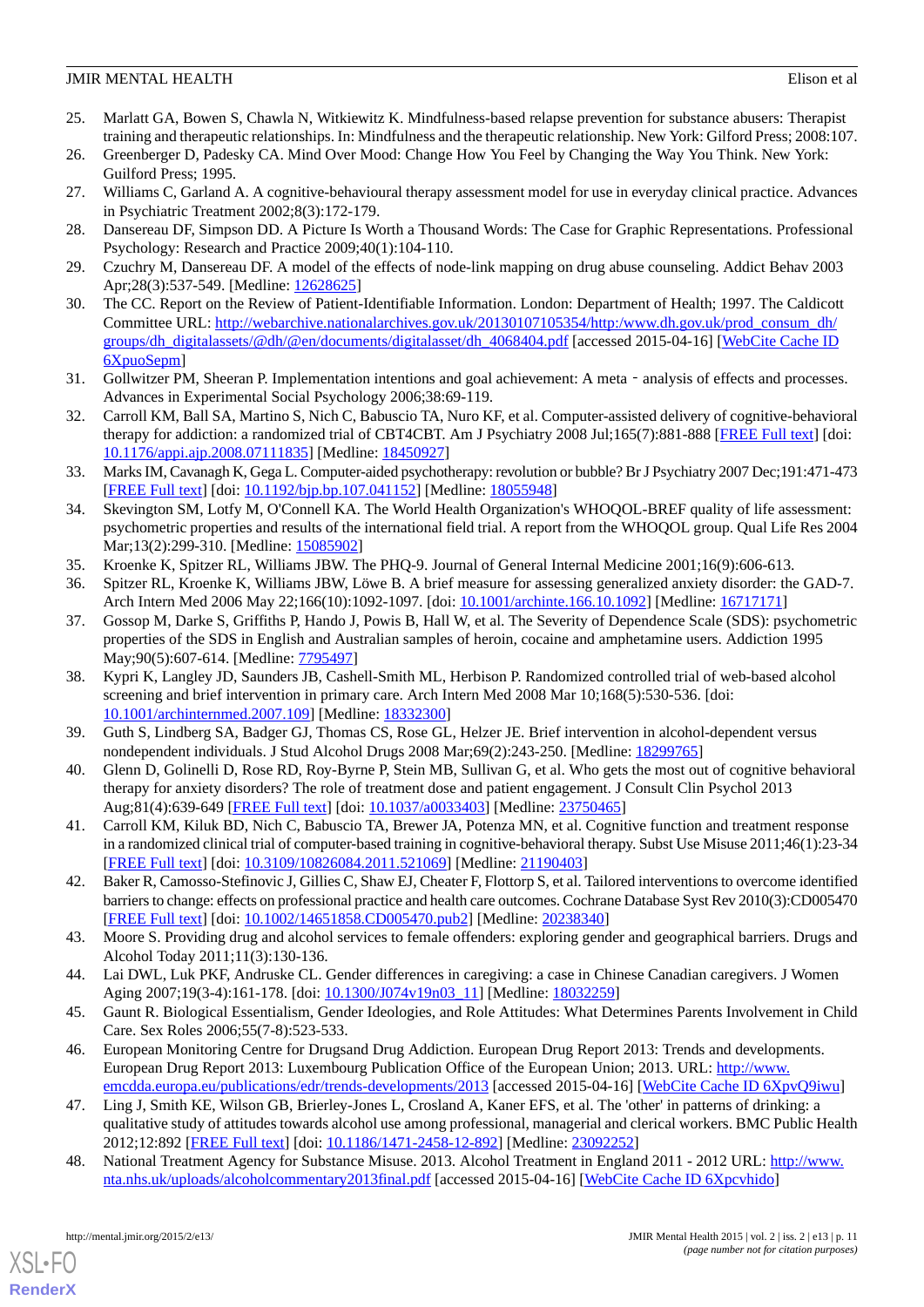- <span id="page-10-0"></span>25. Marlatt GA, Bowen S, Chawla N, Witkiewitz K. Mindfulness-based relapse prevention for substance abusers: Therapist training and therapeutic relationships. In: Mindfulness and the therapeutic relationship. New York: Gilford Press; 2008:107.
- <span id="page-10-2"></span><span id="page-10-1"></span>26. Greenberger D, Padesky CA. Mind Over Mood: Change How You Feel by Changing the Way You Think. New York: Guilford Press; 1995.
- <span id="page-10-3"></span>27. Williams C, Garland A. A cognitive-behavioural therapy assessment model for use in everyday clinical practice. Advances in Psychiatric Treatment 2002;8(3):172-179.
- <span id="page-10-4"></span>28. Dansereau DF, Simpson DD. A Picture Is Worth a Thousand Words: The Case for Graphic Representations. Professional Psychology: Research and Practice 2009;40(1):104-110.
- <span id="page-10-5"></span>29. Czuchry M, Dansereau DF. A model of the effects of node-link mapping on drug abuse counseling. Addict Behav 2003 Apr;28(3):537-549. [Medline: [12628625\]](http://www.ncbi.nlm.nih.gov/entrez/query.fcgi?cmd=Retrieve&db=PubMed&list_uids=12628625&dopt=Abstract)
- <span id="page-10-6"></span>30. The CC. Report on the Review of Patient-Identifiable Information. London: Department of Health; 1997. The Caldicott Committee URL: [http://webarchive.nationalarchives.gov.uk/20130107105354/http:/www.dh.gov.uk/prod\\_consum\\_dh/](http://webarchive.nationalarchives.gov.uk/20130107105354/http:/www.dh.gov.uk/prod_consum_dh/groups/dh_digitalassets/@dh/@en/documents/digitalasset/dh_4068404.pdf) [groups/dh\\_digitalassets/@dh/@en/documents/digitalasset/dh\\_4068404.pdf](http://webarchive.nationalarchives.gov.uk/20130107105354/http:/www.dh.gov.uk/prod_consum_dh/groups/dh_digitalassets/@dh/@en/documents/digitalasset/dh_4068404.pdf) [accessed 2015-04-16] [[WebCite Cache ID](http://www.webcitation.org/

                                6XpuoSepm) [6XpuoSepm](http://www.webcitation.org/

                                6XpuoSepm)]
- <span id="page-10-7"></span>31. Gollwitzer PM, Sheeran P. Implementation intentions and goal achievement: A meta - analysis of effects and processes. Advances in Experimental Social Psychology 2006;38:69-119.
- <span id="page-10-8"></span>32. Carroll KM, Ball SA, Martino S, Nich C, Babuscio TA, Nuro KF, et al. Computer-assisted delivery of cognitive-behavioral therapy for addiction: a randomized trial of CBT4CBT. Am J Psychiatry 2008 Jul;165(7):881-888 [[FREE Full text](http://europepmc.org/abstract/MED/18450927)] [doi: [10.1176/appi.ajp.2008.07111835\]](http://dx.doi.org/10.1176/appi.ajp.2008.07111835) [Medline: [18450927](http://www.ncbi.nlm.nih.gov/entrez/query.fcgi?cmd=Retrieve&db=PubMed&list_uids=18450927&dopt=Abstract)]
- <span id="page-10-9"></span>33. Marks IM, Cavanagh K, Gega L. Computer-aided psychotherapy: revolution or bubble? Br J Psychiatry 2007 Dec;191:471-473 [[FREE Full text](http://bjp.rcpsych.org/cgi/pmidlookup?view=long&pmid=18055948)] [doi: [10.1192/bjp.bp.107.041152](http://dx.doi.org/10.1192/bjp.bp.107.041152)] [Medline: [18055948\]](http://www.ncbi.nlm.nih.gov/entrez/query.fcgi?cmd=Retrieve&db=PubMed&list_uids=18055948&dopt=Abstract)
- <span id="page-10-11"></span><span id="page-10-10"></span>34. Skevington SM, Lotfy M, O'Connell KA. The World Health Organization's WHOQOL-BREF quality of life assessment: psychometric properties and results of the international field trial. A report from the WHOQOL group. Qual Life Res 2004 Mar;13(2):299-310. [Medline: [15085902\]](http://www.ncbi.nlm.nih.gov/entrez/query.fcgi?cmd=Retrieve&db=PubMed&list_uids=15085902&dopt=Abstract)
- <span id="page-10-12"></span>35. Kroenke K, Spitzer RL, Williams JBW. The PHQ-9. Journal of General Internal Medicine 2001;16(9):606-613.
- 36. Spitzer RL, Kroenke K, Williams JBW, Löwe B. A brief measure for assessing generalized anxiety disorder: the GAD-7. Arch Intern Med 2006 May 22;166(10):1092-1097. [doi: [10.1001/archinte.166.10.1092](http://dx.doi.org/10.1001/archinte.166.10.1092)] [Medline: [16717171](http://www.ncbi.nlm.nih.gov/entrez/query.fcgi?cmd=Retrieve&db=PubMed&list_uids=16717171&dopt=Abstract)]
- <span id="page-10-13"></span>37. Gossop M, Darke S, Griffiths P, Hando J, Powis B, Hall W, et al. The Severity of Dependence Scale (SDS): psychometric properties of the SDS in English and Australian samples of heroin, cocaine and amphetamine users. Addiction 1995 May;90(5):607-614. [Medline: [7795497](http://www.ncbi.nlm.nih.gov/entrez/query.fcgi?cmd=Retrieve&db=PubMed&list_uids=7795497&dopt=Abstract)]
- <span id="page-10-15"></span><span id="page-10-14"></span>38. Kypri K, Langley JD, Saunders JB, Cashell-Smith ML, Herbison P. Randomized controlled trial of web-based alcohol screening and brief intervention in primary care. Arch Intern Med 2008 Mar 10;168(5):530-536. [doi: [10.1001/archinternmed.2007.109\]](http://dx.doi.org/10.1001/archinternmed.2007.109) [Medline: [18332300](http://www.ncbi.nlm.nih.gov/entrez/query.fcgi?cmd=Retrieve&db=PubMed&list_uids=18332300&dopt=Abstract)]
- <span id="page-10-16"></span>39. Guth S, Lindberg SA, Badger GJ, Thomas CS, Rose GL, Helzer JE. Brief intervention in alcohol-dependent versus nondependent individuals. J Stud Alcohol Drugs 2008 Mar;69(2):243-250. [Medline: [18299765\]](http://www.ncbi.nlm.nih.gov/entrez/query.fcgi?cmd=Retrieve&db=PubMed&list_uids=18299765&dopt=Abstract)
- <span id="page-10-17"></span>40. Glenn D, Golinelli D, Rose RD, Roy-Byrne P, Stein MB, Sullivan G, et al. Who gets the most out of cognitive behavioral therapy for anxiety disorders? The role of treatment dose and patient engagement. J Consult Clin Psychol 2013 Aug;81(4):639-649 [\[FREE Full text](http://europepmc.org/abstract/MED/23750465)] [doi: [10.1037/a0033403](http://dx.doi.org/10.1037/a0033403)] [Medline: [23750465](http://www.ncbi.nlm.nih.gov/entrez/query.fcgi?cmd=Retrieve&db=PubMed&list_uids=23750465&dopt=Abstract)]
- <span id="page-10-18"></span>41. Carroll KM, Kiluk BD, Nich C, Babuscio TA, Brewer JA, Potenza MN, et al. Cognitive function and treatment response in a randomized clinical trial of computer-based training in cognitive-behavioral therapy. Subst Use Misuse 2011;46(1):23-34 [[FREE Full text](http://europepmc.org/abstract/MED/21190403)] [doi: [10.3109/10826084.2011.521069\]](http://dx.doi.org/10.3109/10826084.2011.521069) [Medline: [21190403\]](http://www.ncbi.nlm.nih.gov/entrez/query.fcgi?cmd=Retrieve&db=PubMed&list_uids=21190403&dopt=Abstract)
- <span id="page-10-19"></span>42. Baker R, Camosso-Stefinovic J, Gillies C, Shaw EJ, Cheater F, Flottorp S, et al. Tailored interventions to overcome identified barriers to change: effects on professional practice and health care outcomes. Cochrane Database Syst Rev 2010(3):CD005470 [[FREE Full text](http://europepmc.org/abstract/MED/20238340)] [doi: [10.1002/14651858.CD005470.pub2\]](http://dx.doi.org/10.1002/14651858.CD005470.pub2) [Medline: [20238340](http://www.ncbi.nlm.nih.gov/entrez/query.fcgi?cmd=Retrieve&db=PubMed&list_uids=20238340&dopt=Abstract)]
- <span id="page-10-21"></span><span id="page-10-20"></span>43. Moore S. Providing drug and alcohol services to female offenders: exploring gender and geographical barriers. Drugs and Alcohol Today 2011;11(3):130-136.
- 44. Lai DWL, Luk PKF, Andruske CL. Gender differences in caregiving: a case in Chinese Canadian caregivers. J Women Aging 2007;19(3-4):161-178. [doi: [10.1300/J074v19n03\\_11](http://dx.doi.org/10.1300/J074v19n03_11)] [Medline: [18032259](http://www.ncbi.nlm.nih.gov/entrez/query.fcgi?cmd=Retrieve&db=PubMed&list_uids=18032259&dopt=Abstract)]
- <span id="page-10-22"></span>45. Gaunt R. Biological Essentialism, Gender Ideologies, and Role Attitudes: What Determines Parents Involvement in Child Care. Sex Roles 2006;55(7-8):523-533.
- <span id="page-10-23"></span>46. European Monitoring Centre for Drugsand Drug Addiction. European Drug Report 2013: Trends and developments. European Drug Report 2013: Luxembourg Publication Office of the European Union; 2013. URL: [http://www.](http://www.emcdda.europa.eu/publications/edr/trends-developments/2013) [emcdda.europa.eu/publications/edr/trends-developments/2013](http://www.emcdda.europa.eu/publications/edr/trends-developments/2013) [accessed 2015-04-16] [\[WebCite Cache ID 6XpvQ9iwu](http://www.webcitation.org/

                                6XpvQ9iwu)]
- 47. Ling J, Smith KE, Wilson GB, Brierley-Jones L, Crosland A, Kaner EFS, et al. The 'other' in patterns of drinking: a qualitative study of attitudes towards alcohol use among professional, managerial and clerical workers. BMC Public Health 2012;12:892 [[FREE Full text](http://www.biomedcentral.com/1471-2458/12/892)] [doi: [10.1186/1471-2458-12-892\]](http://dx.doi.org/10.1186/1471-2458-12-892) [Medline: [23092252\]](http://www.ncbi.nlm.nih.gov/entrez/query.fcgi?cmd=Retrieve&db=PubMed&list_uids=23092252&dopt=Abstract)
- 48. National Treatment Agency for Substance Misuse. 2013. Alcohol Treatment in England 2011 2012 URL: [http://www.](http://www.nta.nhs.uk/uploads/alcoholcommentary2013final.pdf) [nta.nhs.uk/uploads/alcoholcommentary2013final.pdf](http://www.nta.nhs.uk/uploads/alcoholcommentary2013final.pdf) [accessed 2015-04-16] [[WebCite Cache ID 6Xpcvhido](http://www.webcitation.org/

                                6Xpcvhido)]

[XSL](http://www.w3.org/Style/XSL)•FO **[RenderX](http://www.renderx.com/)**